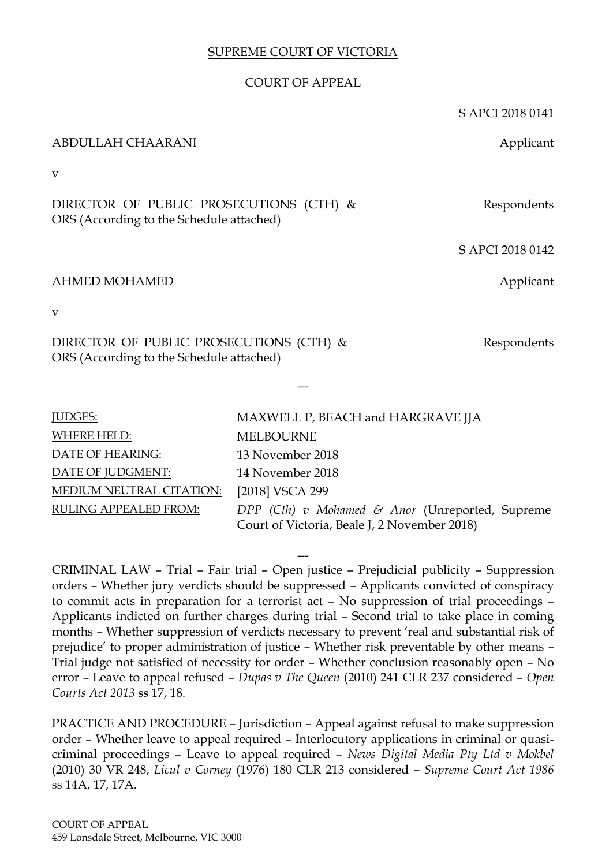# SUPREME COURT OF VICTORIA

## COURT OF APPEAL

S APCI 2018 0141

ABDULLAH CHAARANI Applicant v DIRECTOR OF PUBLIC PROSECUTIONS (CTH) & ORS (According to the Schedule attached) Respondents S APCI 2018 0142 AHMED MOHAMED **Applicant** v DIRECTOR OF PUBLIC PROSECUTIONS (CTH) & ORS (According to the Schedule attached) Respondents --- JUDGES: MAXWELL P, BEACH and HARGRAVE JJA WHERE HELD: MELBOURNE DATE OF HEARING: 13 November 2018 DATE OF JUDGMENT: 14 November 2018 MEDIUM NEUTRAL CITATION: [2018] VSCA 299 RULING APPEALED FROM: *DPP (Cth) v Mohamed & Anor* (Unreported, Supreme Court of Victoria, Beale J, 2 November 2018)

--- CRIMINAL LAW – Trial – Fair trial – Open justice – Prejudicial publicity – Suppression orders – Whether jury verdicts should be suppressed – Applicants convicted of conspiracy to commit acts in preparation for a terrorist act – No suppression of trial proceedings – Applicants indicted on further charges during trial – Second trial to take place in coming months – Whether suppression of verdicts necessary to prevent 'real and substantial risk of prejudice' to proper administration of justice – Whether risk preventable by other means – Trial judge not satisfied of necessity for order – Whether conclusion reasonably open – No error – Leave to appeal refused – *Dupas v The Queen* (2010) 241 CLR 237 considered – *Open Courts Act 2013* ss 17, 18*.* 

PRACTICE AND PROCEDURE – Jurisdiction – Appeal against refusal to make suppression order – Whether leave to appeal required – Interlocutory applications in criminal or quasicriminal proceedings – Leave to appeal required – *News Digital Media Pty Ltd v Mokbel*  (2010) 30 VR 248, *Licul v Corney* (1976) 180 CLR 213 considered *– Supreme Court Act 1986* ss 14A, 17, 17A*.*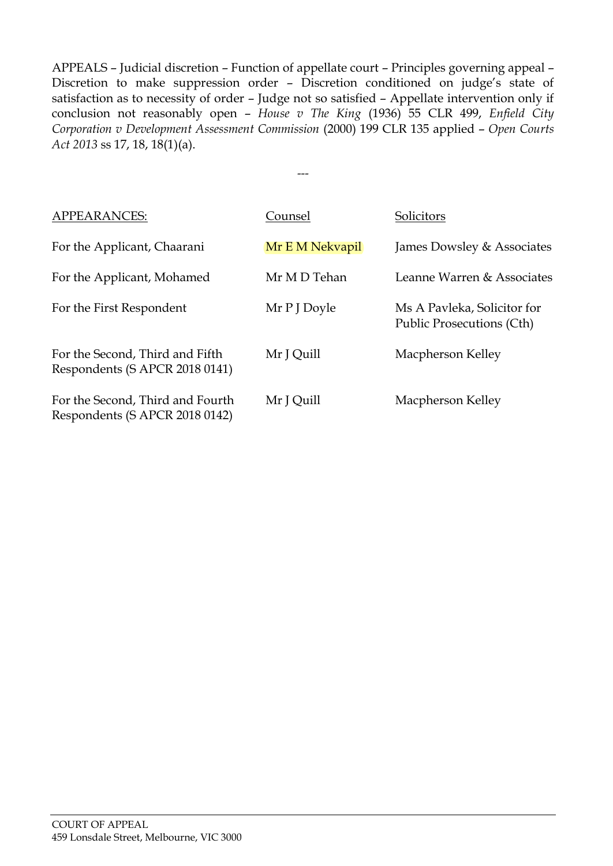APPEALS – Judicial discretion – Function of appellate court – Principles governing appeal – Discretion to make suppression order – Discretion conditioned on judge's state of satisfaction as to necessity of order – Judge not so satisfied – Appellate intervention only if conclusion not reasonably open – *House v The King* (1936) 55 CLR 499, *Enfield City Corporation v Development Assessment Commission* (2000) 199 CLR 135 applied – *Open Courts Act 2013* ss 17, 18, 18(1)(a).

---

| <b>APPEARANCES:</b>                                                | Counsel         | Solicitors                                                      |
|--------------------------------------------------------------------|-----------------|-----------------------------------------------------------------|
| For the Applicant, Chaarani                                        | Mr E M Nekvapil | James Dowsley & Associates                                      |
| For the Applicant, Mohamed                                         | Mr MD Tehan     | Leanne Warren & Associates                                      |
| For the First Respondent                                           | Mr P J Doyle    | Ms A Pavleka, Solicitor for<br><b>Public Prosecutions (Cth)</b> |
| For the Second, Third and Fifth<br>Respondents (S APCR 2018 0141)  | Mr J Quill      | Macpherson Kelley                                               |
| For the Second, Third and Fourth<br>Respondents (S APCR 2018 0142) | Mr J Quill      | Macpherson Kelley                                               |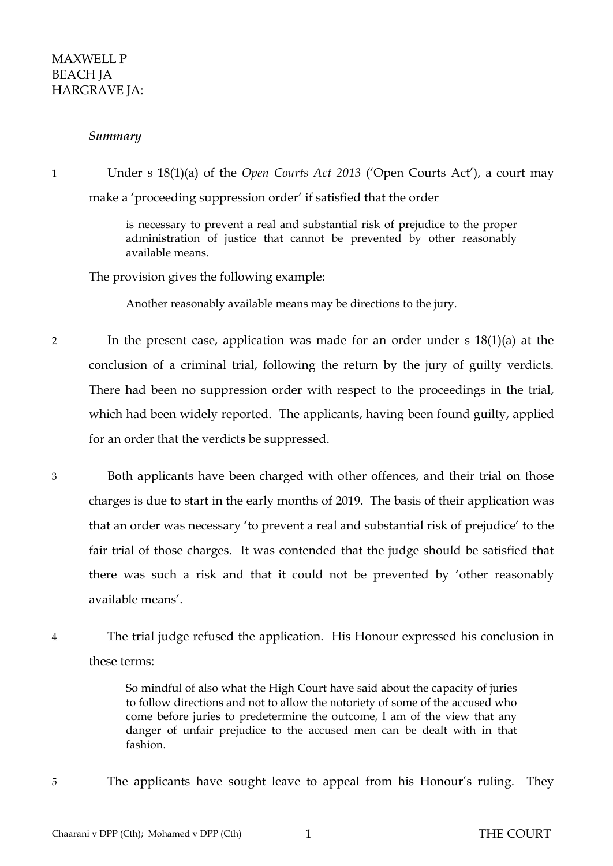## MAXWELL P BEACH JA HARGRAVE JA:

#### *Summary*

<span id="page-2-0"></span>1 Under s 18(1)(a) of the *Open Courts Act 2013* ('Open Courts Act'), a court may make a 'proceeding suppression order' if satisfied that the order

> is necessary to prevent a real and substantial risk of prejudice to the proper administration of justice that cannot be prevented by other reasonably available means.

The provision gives the following example:

Another reasonably available means may be directions to the jury.

- 2 In the present case, application was made for an order under s 18(1)(a) at the conclusion of a criminal trial, following the return by the jury of guilty verdicts. There had been no suppression order with respect to the proceedings in the trial, which had been widely reported. The applicants, having been found guilty, applied for an order that the verdicts be suppressed.
- 3 Both applicants have been charged with other offences, and their trial on those charges is due to start in the early months of 2019. The basis of their application was that an order was necessary 'to prevent a real and substantial risk of prejudice' to the fair trial of those charges. It was contended that the judge should be satisfied that there was such a risk and that it could not be prevented by 'other reasonably available means'.
- 4 The trial judge refused the application. His Honour expressed his conclusion in these terms:

So mindful of also what the High Court have said about the capacity of juries to follow directions and not to allow the notoriety of some of the accused who come before juries to predetermine the outcome, I am of the view that any danger of unfair prejudice to the accused men can be dealt with in that fashion.

5 The applicants have sought leave to appeal from his Honour's ruling. They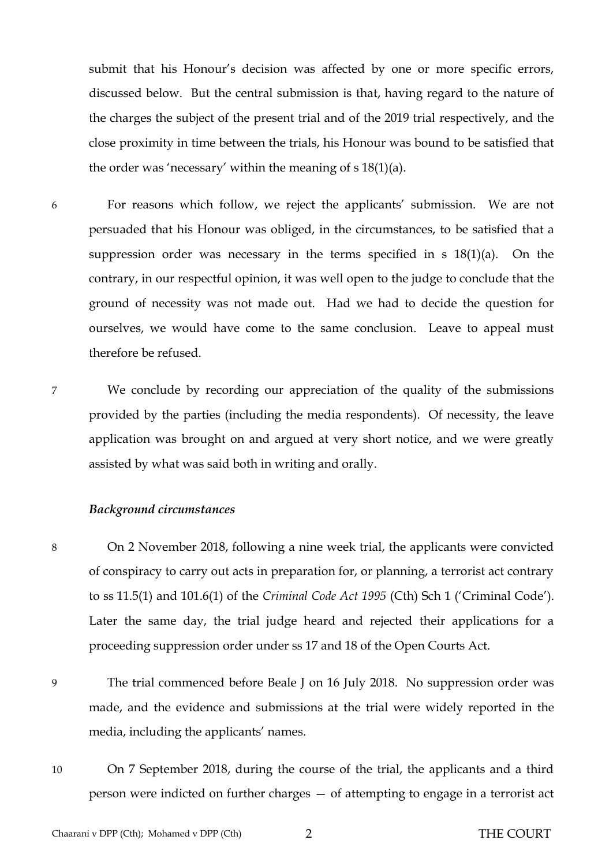submit that his Honour's decision was affected by one or more specific errors, discussed below. But the central submission is that, having regard to the nature of the charges the subject of the present trial and of the 2019 trial respectively, and the close proximity in time between the trials, his Honour was bound to be satisfied that the order was 'necessary' within the meaning of s 18(1)(a).

- 6 For reasons which follow, we reject the applicants' submission. We are not persuaded that his Honour was obliged, in the circumstances, to be satisfied that a suppression order was necessary in the terms specified in s 18(1)(a). On the contrary, in our respectful opinion, it was well open to the judge to conclude that the ground of necessity was not made out. Had we had to decide the question for ourselves, we would have come to the same conclusion. Leave to appeal must therefore be refused.
- 7 We conclude by recording our appreciation of the quality of the submissions provided by the parties (including the media respondents). Of necessity, the leave application was brought on and argued at very short notice, and we were greatly assisted by what was said both in writing and orally.

#### *Background circumstances*

- 8 On 2 November 2018, following a nine week trial, the applicants were convicted of conspiracy to carry out acts in preparation for, or planning, a terrorist act contrary to ss 11.5(1) and 101.6(1) of the *Criminal Code Act 1995* (Cth) Sch 1 ('Criminal Code'). Later the same day, the trial judge heard and rejected their applications for a proceeding suppression order under ss 17 and 18 of the Open Courts Act.
- 9 The trial commenced before Beale J on 16 July 2018. No suppression order was made, and the evidence and submissions at the trial were widely reported in the media, including the applicants' names.
- 10 On 7 September 2018, during the course of the trial, the applicants and a third person were indicted on further charges — of attempting to engage in a terrorist act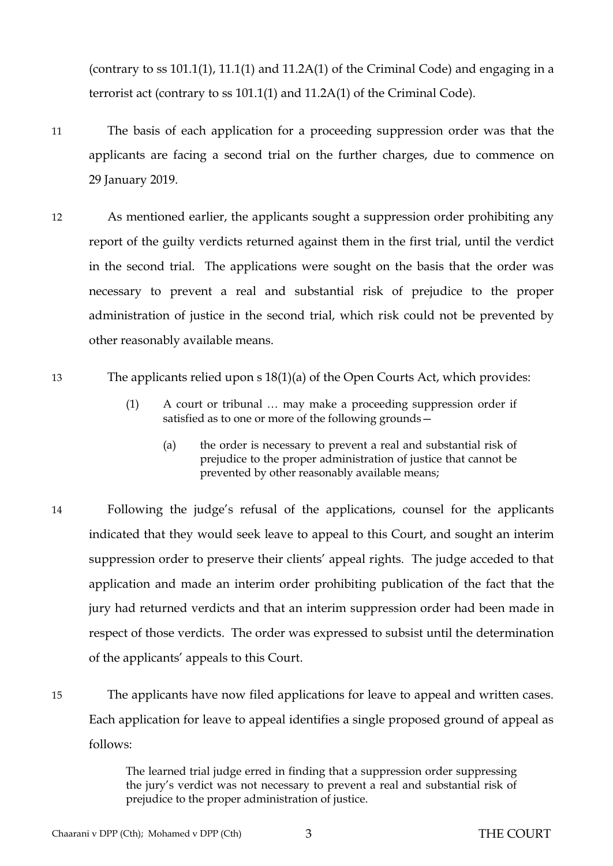(contrary to ss 101.1(1), 11.1(1) and 11.2A(1) of the Criminal Code) and engaging in a terrorist act (contrary to ss 101.1(1) and 11.2A(1) of the Criminal Code).

- 11 The basis of each application for a proceeding suppression order was that the applicants are facing a second trial on the further charges, due to commence on 29 January 2019.
- 12 As mentioned earlier, the applicants sought a suppression order prohibiting any report of the guilty verdicts returned against them in the first trial, until the verdict in the second trial. The applications were sought on the basis that the order was necessary to prevent a real and substantial risk of prejudice to the proper administration of justice in the second trial, which risk could not be prevented by other reasonably available means.
- <span id="page-4-0"></span>13 The applicants relied upon s 18(1)(a) of the Open Courts Act, which provides:
	- (1) A court or tribunal … may make a proceeding suppression order if satisfied as to one or more of the following grounds—
		- (a) the order is necessary to prevent a real and substantial risk of prejudice to the proper administration of justice that cannot be prevented by other reasonably available means;
- 14 Following the judge's refusal of the applications, counsel for the applicants indicated that they would seek leave to appeal to this Court, and sought an interim suppression order to preserve their clients' appeal rights. The judge acceded to that application and made an interim order prohibiting publication of the fact that the jury had returned verdicts and that an interim suppression order had been made in respect of those verdicts. The order was expressed to subsist until the determination of the applicants' appeals to this Court.
- 15 The applicants have now filed applications for leave to appeal and written cases. Each application for leave to appeal identifies a single proposed ground of appeal as follows:

The learned trial judge erred in finding that a suppression order suppressing the jury's verdict was not necessary to prevent a real and substantial risk of prejudice to the proper administration of justice.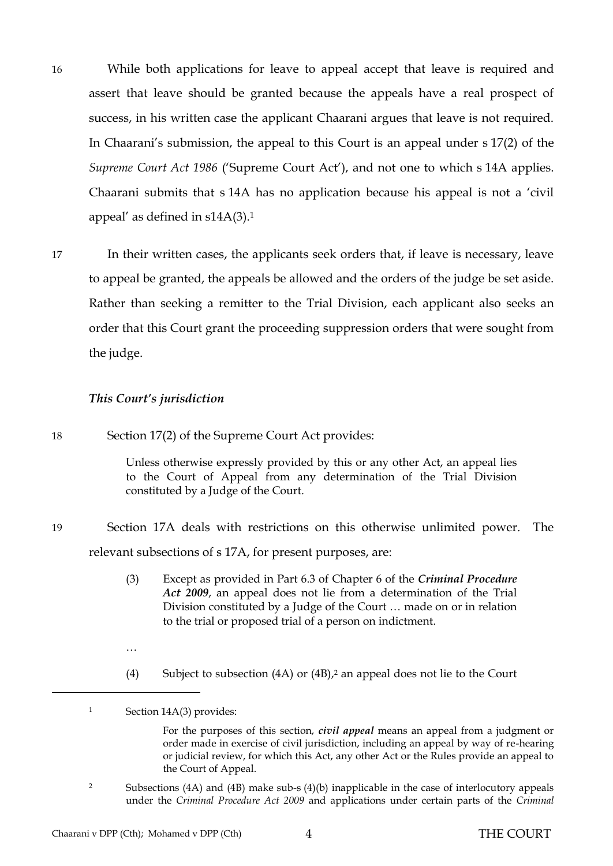- 16 While both applications for leave to appeal accept that leave is required and assert that leave should be granted because the appeals have a real prospect of success, in his written case the applicant Chaarani argues that leave is not required. In Chaarani's submission, the appeal to this Court is an appeal under s 17(2) of the *Supreme Court Act 1986* ('Supreme Court Act'), and not one to which s 14A applies. Chaarani submits that s 14A has no application because his appeal is not a 'civil appeal' as defined in  $s14A(3)$ .<sup>1</sup>
- 17 In their written cases, the applicants seek orders that, if leave is necessary, leave to appeal be granted, the appeals be allowed and the orders of the judge be set aside. Rather than seeking a remitter to the Trial Division, each applicant also seeks an order that this Court grant the proceeding suppression orders that were sought from the judge.

#### *This Court's jurisdiction*

18 Section 17(2) of the Supreme Court Act provides:

Unless otherwise expressly provided by this or any other Act, an appeal lies to the Court of Appeal from any determination of the Trial Division constituted by a Judge of the Court.

- 19 Section 17A deals with restrictions on this otherwise unlimited power. The relevant subsections of s 17A, for present purposes, are:
	- (3) Except as provided in Part 6.3 of Chapter 6 of the *Criminal Procedure Act 2009*, an appeal does not lie from a determination of the Trial Division constituted by a Judge of the Court … made on or in relation to the trial or proposed trial of a person on indictment.
	- …

 $\overline{a}$ 

(4) Subject to subsection (4A) or (4B),<sup>2</sup> an appeal does not lie to the Court

<sup>2</sup> Subsections (4A) and (4B) make sub-s (4)(b) inapplicable in the case of interlocutory appeals under the *Criminal Procedure Act 2009* and applications under certain parts of the *Criminal* 

<sup>1</sup> Section 14A(3) provides:

For the purposes of this section, *civil appeal* means an appeal from a judgment or order made in exercise of civil jurisdiction, including an appeal by way of re-hearing or judicial review, for which this Act, any other Act or the Rules provide an appeal to the Court of Appeal.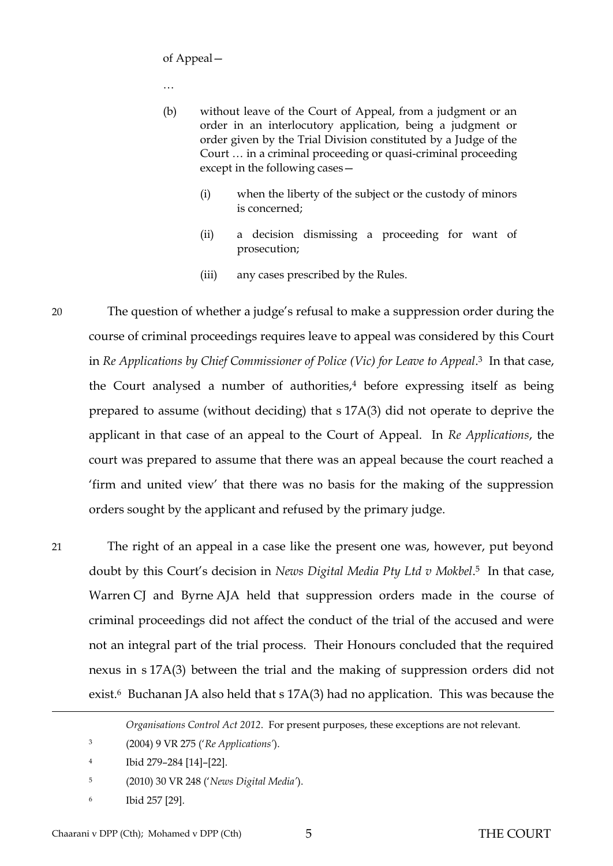of Appeal—

…

- (b) without leave of the Court of Appeal, from a judgment or an order in an interlocutory application, being a judgment or order given by the Trial Division constituted by a Judge of the Court … in a criminal proceeding or quasi-criminal proceeding except in the following cases—
	- (i) when the liberty of the subject or the custody of minors is concerned;
	- (ii) a decision dismissing a proceeding for want of prosecution;
	- (iii) any cases prescribed by the Rules.

20 The question of whether a judge's refusal to make a suppression order during the course of criminal proceedings requires leave to appeal was considered by this Court in *Re Applications by Chief Commissioner of Police (Vic) for Leave to Appeal*. <sup>3</sup> In that case, the Court analysed a number of authorities, $4$  before expressing itself as being prepared to assume (without deciding) that s 17A(3) did not operate to deprive the applicant in that case of an appeal to the Court of Appeal. In *Re Applications*, the court was prepared to assume that there was an appeal because the court reached a 'firm and united view' that there was no basis for the making of the suppression orders sought by the applicant and refused by the primary judge.

21 The right of an appeal in a case like the present one was, however, put beyond doubt by this Court's decision in *News Digital Media Pty Ltd v Mokbel*. <sup>5</sup> In that case, Warren CJ and Byrne AJA held that suppression orders made in the course of criminal proceedings did not affect the conduct of the trial of the accused and were not an integral part of the trial process. Their Honours concluded that the required nexus in s 17A(3) between the trial and the making of suppression orders did not exist.<sup>6</sup> Buchanan JA also held that s 17A(3) had no application. This was because the

- 4 Ibid 279–284 [14]–[22].
- 5 (2010) 30 VR 248 ('*News Digital Media'*).
- 6 Ibid 257 [29].

*Organisations Control Act 2012*. For present purposes, these exceptions are not relevant.

<sup>3</sup> (2004) 9 VR 275 ('*Re Applications'*).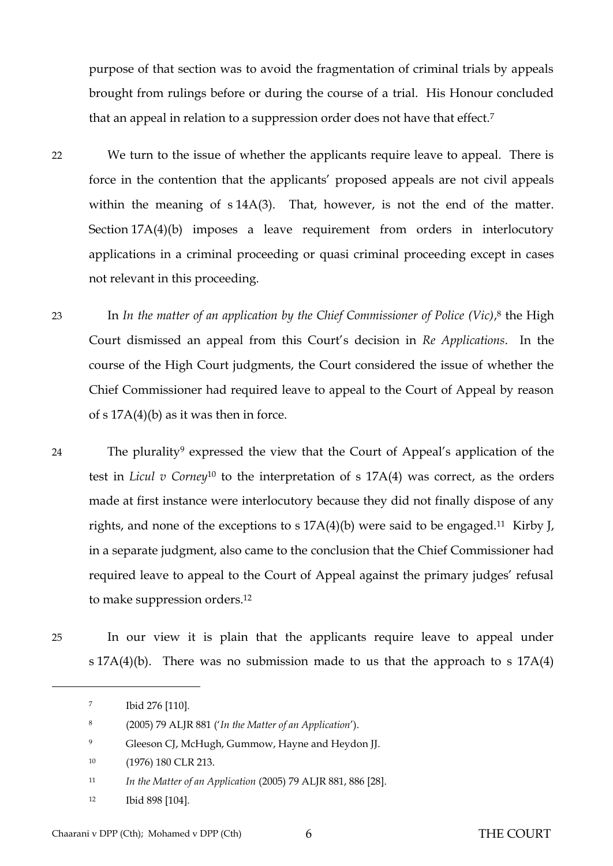purpose of that section was to avoid the fragmentation of criminal trials by appeals brought from rulings before or during the course of a trial. His Honour concluded that an appeal in relation to a suppression order does not have that effect.<sup>7</sup>

- 22 We turn to the issue of whether the applicants require leave to appeal. There is force in the contention that the applicants' proposed appeals are not civil appeals within the meaning of s 14A(3). That, however, is not the end of the matter. Section 17A(4)(b) imposes a leave requirement from orders in interlocutory applications in a criminal proceeding or quasi criminal proceeding except in cases not relevant in this proceeding.
- 23 In *In the matter of an application by the Chief Commissioner of Police (Vic)*, <sup>8</sup> the High Court dismissed an appeal from this Court's decision in *Re Applications*. In the course of the High Court judgments, the Court considered the issue of whether the Chief Commissioner had required leave to appeal to the Court of Appeal by reason of s  $17A(4)(b)$  as it was then in force.
- 24 The plurality<sup>9</sup> expressed the view that the Court of Appeal's application of the test in *Licul v Corney*<sup>10</sup> to the interpretation of s 17A(4) was correct, as the orders made at first instance were interlocutory because they did not finally dispose of any rights, and none of the exceptions to s 17A(4)(b) were said to be engaged.11 Kirby J, in a separate judgment, also came to the conclusion that the Chief Commissioner had required leave to appeal to the Court of Appeal against the primary judges' refusal to make suppression orders.<sup>12</sup>
- 25 In our view it is plain that the applicants require leave to appeal under s 17A(4)(b). There was no submission made to us that the approach to s 17A(4)

- <sup>9</sup> Gleeson CJ, McHugh, Gummow, Hayne and Heydon JJ.
- 10 (1976) 180 CLR 213.
- <sup>11</sup> *In the Matter of an Application* (2005) 79 ALJR 881, 886 [28].
- <sup>12</sup> Ibid 898 [104].

<sup>7</sup> Ibid 276 [110].

<sup>8</sup> (2005) 79 ALJR 881 ('*In the Matter of an Application*').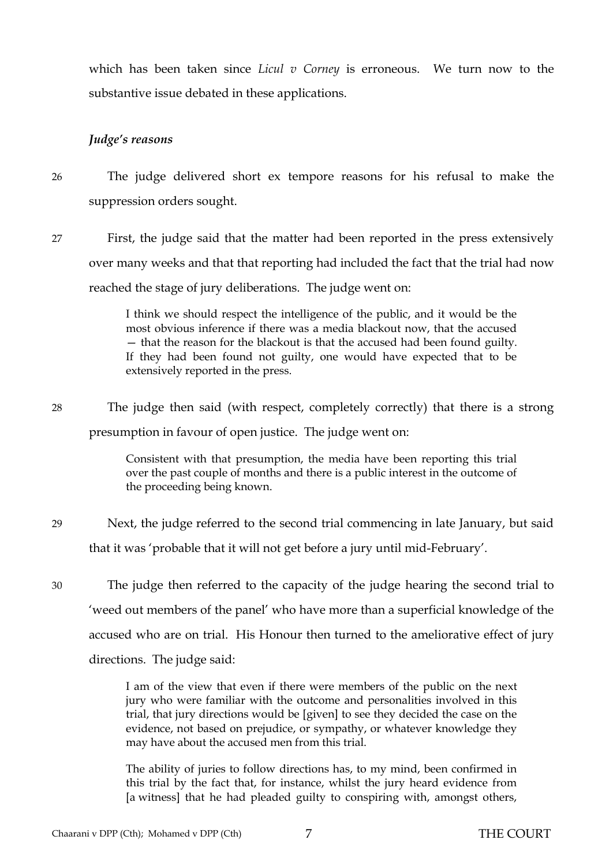which has been taken since *Licul v Corney* is erroneous. We turn now to the substantive issue debated in these applications.

### *Judge's reasons*

26 The judge delivered short ex tempore reasons for his refusal to make the suppression orders sought.

27 First, the judge said that the matter had been reported in the press extensively over many weeks and that that reporting had included the fact that the trial had now reached the stage of jury deliberations. The judge went on:

> I think we should respect the intelligence of the public, and it would be the most obvious inference if there was a media blackout now, that the accused — that the reason for the blackout is that the accused had been found guilty. If they had been found not guilty, one would have expected that to be extensively reported in the press.

28 The judge then said (with respect, completely correctly) that there is a strong presumption in favour of open justice. The judge went on:

> Consistent with that presumption, the media have been reporting this trial over the past couple of months and there is a public interest in the outcome of the proceeding being known.

29 Next, the judge referred to the second trial commencing in late January, but said that it was 'probable that it will not get before a jury until mid-February'.

30 The judge then referred to the capacity of the judge hearing the second trial to 'weed out members of the panel' who have more than a superficial knowledge of the accused who are on trial. His Honour then turned to the ameliorative effect of jury directions. The judge said:

> I am of the view that even if there were members of the public on the next jury who were familiar with the outcome and personalities involved in this trial, that jury directions would be [given] to see they decided the case on the evidence, not based on prejudice, or sympathy, or whatever knowledge they may have about the accused men from this trial.

> The ability of juries to follow directions has, to my mind, been confirmed in this trial by the fact that, for instance, whilst the jury heard evidence from [a witness] that he had pleaded guilty to conspiring with, amongst others,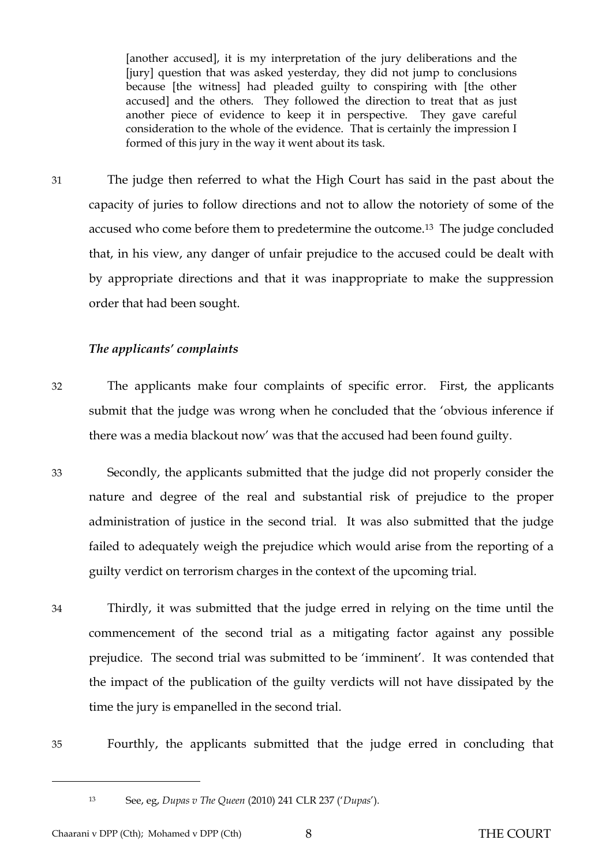[another accused], it is my interpretation of the jury deliberations and the [jury] question that was asked yesterday, they did not jump to conclusions because [the witness] had pleaded guilty to conspiring with [the other accused] and the others. They followed the direction to treat that as just another piece of evidence to keep it in perspective. They gave careful consideration to the whole of the evidence. That is certainly the impression I formed of this jury in the way it went about its task.

31 The judge then referred to what the High Court has said in the past about the capacity of juries to follow directions and not to allow the notoriety of some of the accused who come before them to predetermine the outcome.13 The judge concluded that, in his view, any danger of unfair prejudice to the accused could be dealt with by appropriate directions and that it was inappropriate to make the suppression order that had been sought.

#### *The applicants' complaints*

- 32 The applicants make four complaints of specific error. First, the applicants submit that the judge was wrong when he concluded that the 'obvious inference if there was a media blackout now' was that the accused had been found guilty.
- 33 Secondly, the applicants submitted that the judge did not properly consider the nature and degree of the real and substantial risk of prejudice to the proper administration of justice in the second trial. It was also submitted that the judge failed to adequately weigh the prejudice which would arise from the reporting of a guilty verdict on terrorism charges in the context of the upcoming trial.
- 34 Thirdly, it was submitted that the judge erred in relying on the time until the commencement of the second trial as a mitigating factor against any possible prejudice. The second trial was submitted to be 'imminent'. It was contended that the impact of the publication of the guilty verdicts will not have dissipated by the time the jury is empanelled in the second trial.
- 35 Fourthly, the applicants submitted that the judge erred in concluding that

l

<sup>13</sup> See, eg, *Dupas v The Queen* (2010) 241 CLR 237 ('*Dupas*').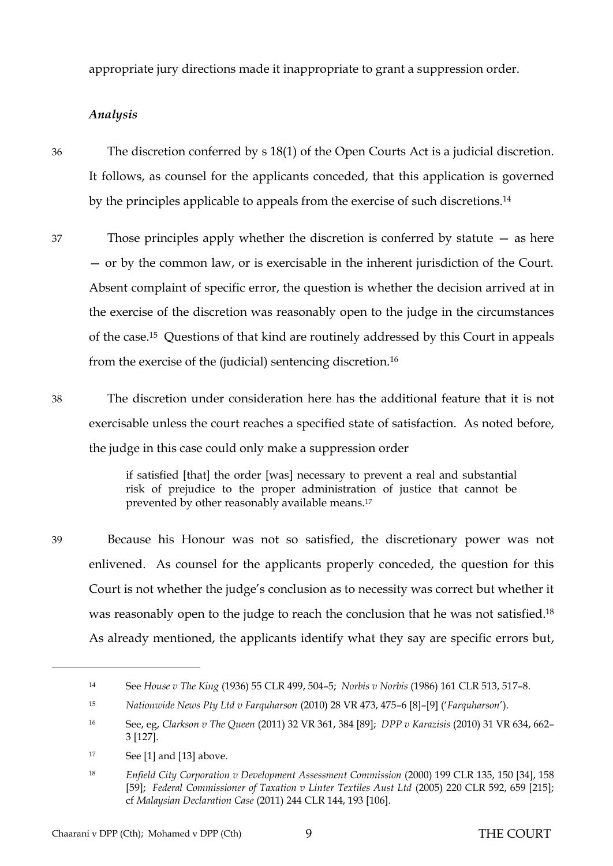appropriate jury directions made it inappropriate to grant a suppression order.

### *Analysis*

36 The discretion conferred by s 18(1) of the Open Courts Act is a judicial discretion. It follows, as counsel for the applicants conceded, that this application is governed by the principles applicable to appeals from the exercise of such discretions.<sup>14</sup>

37 Those principles apply whether the discretion is conferred by statute — as here — or by the common law, or is exercisable in the inherent jurisdiction of the Court. Absent complaint of specific error, the question is whether the decision arrived at in the exercise of the discretion was reasonably open to the judge in the circumstances of the case.15 Questions of that kind are routinely addressed by this Court in appeals from the exercise of the (judicial) sentencing discretion.<sup>16</sup>

38 The discretion under consideration here has the additional feature that it is not exercisable unless the court reaches a specified state of satisfaction. As noted before, the judge in this case could only make a suppression order

> if satisfied [that] the order [was] necessary to prevent a real and substantial risk of prejudice to the proper administration of justice that cannot be prevented by other reasonably available means.<sup>17</sup>

39 Because his Honour was not so satisfied, the discretionary power was not enlivened. As counsel for the applicants properly conceded, the question for this Court is not whether the judge's conclusion as to necessity was correct but whether it was reasonably open to the judge to reach the conclusion that he was not satisfied.<sup>18</sup> As already mentioned, the applicants identify what they say are specific errors but,

<sup>14</sup> See *House v The King* (1936) 55 CLR 499, 504–5; *Norbis v Norbis* (1986) 161 CLR 513, 517–8.

<sup>15</sup> *Nationwide News Pty Ltd v Farquharson* (2010) 28 VR 473, 475–6 [8]–[9] ('*Farquharson*').

<sup>16</sup> See, eg, *Clarkson v The Queen* (2011) 32 VR 361, 384 [89]; *DPP v Karazisis* (2010) 31 VR 634, 662– 3 [127].

 $17$  See [\[1\]](#page-2-0) and [\[13\]](#page-4-0) above.

<sup>18</sup> *Enfield City Corporation v Development Assessment Commission* (2000) 199 CLR 135, 150 [34], 158 [59]; *Federal Commissioner of Taxation v Linter Textiles Aust Ltd* (2005) 220 CLR 592, 659 [215]; cf *Malaysian Declaration Case* (2011) 244 CLR 144, 193 [106].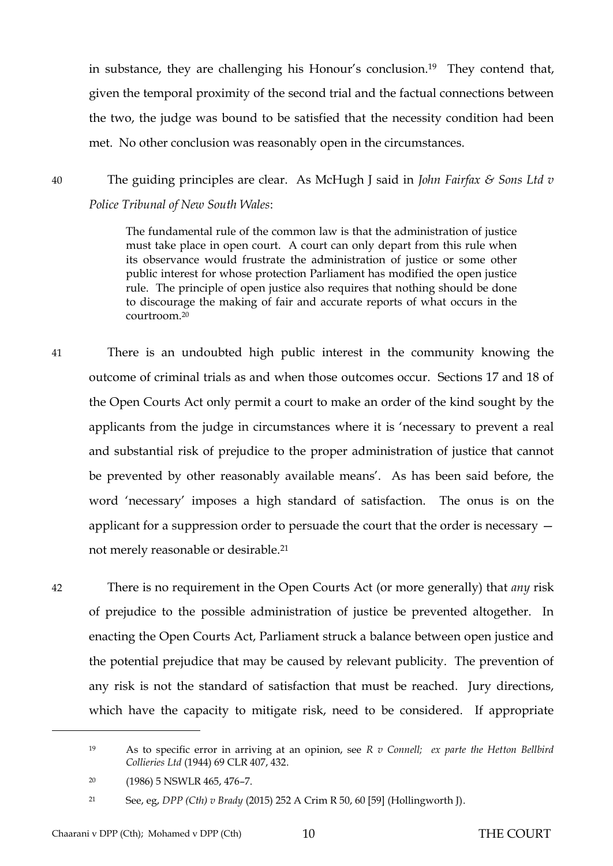in substance, they are challenging his Honour's conclusion.<sup>19</sup> They contend that, given the temporal proximity of the second trial and the factual connections between the two, the judge was bound to be satisfied that the necessity condition had been met. No other conclusion was reasonably open in the circumstances.

40 The guiding principles are clear. As McHugh J said in *John Fairfax & Sons Ltd v Police Tribunal of New South Wales*:

> The fundamental rule of the common law is that the administration of justice must take place in open court. A court can only depart from this rule when its observance would frustrate the administration of justice or some other public interest for whose protection Parliament has modified the open justice rule. The principle of open justice also requires that nothing should be done to discourage the making of fair and accurate reports of what occurs in the courtroom.<sup>20</sup>

41 There is an undoubted high public interest in the community knowing the outcome of criminal trials as and when those outcomes occur. Sections 17 and 18 of the Open Courts Act only permit a court to make an order of the kind sought by the applicants from the judge in circumstances where it is 'necessary to prevent a real and substantial risk of prejudice to the proper administration of justice that cannot be prevented by other reasonably available means'. As has been said before, the word 'necessary' imposes a high standard of satisfaction. The onus is on the applicant for a suppression order to persuade the court that the order is necessary not merely reasonable or desirable.<sup>21</sup>

42 There is no requirement in the Open Courts Act (or more generally) that *any* risk of prejudice to the possible administration of justice be prevented altogether. In enacting the Open Courts Act, Parliament struck a balance between open justice and the potential prejudice that may be caused by relevant publicity. The prevention of any risk is not the standard of satisfaction that must be reached. Jury directions, which have the capacity to mitigate risk, need to be considered. If appropriate

<sup>19</sup> As to specific error in arriving at an opinion, see *R v Connell; ex parte the Hetton Bellbird Collieries Ltd* (1944) 69 CLR 407, 432.

<sup>20</sup> (1986) 5 NSWLR 465, 476–7.

<sup>21</sup> See, eg, *DPP (Cth) v Brady* (2015) 252 A Crim R 50, 60 [59] (Hollingworth J).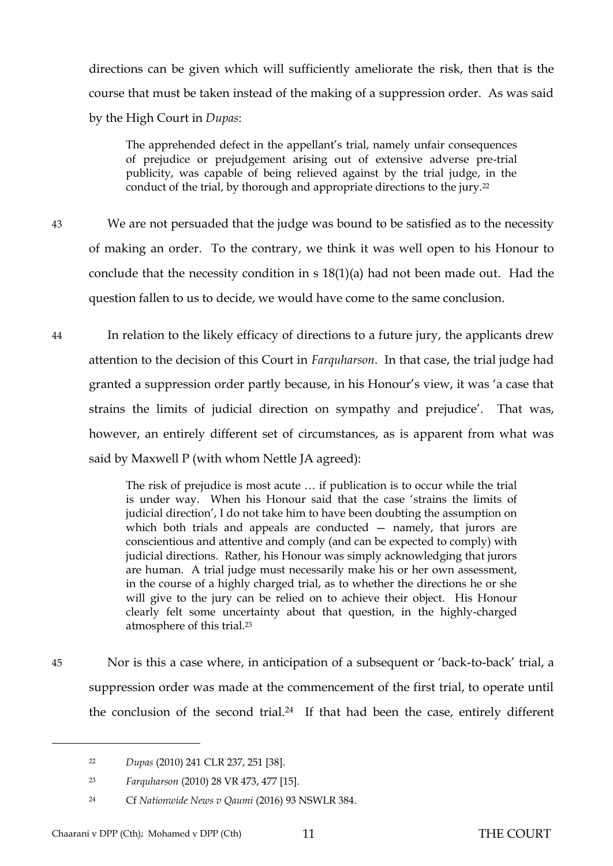directions can be given which will sufficiently ameliorate the risk, then that is the course that must be taken instead of the making of a suppression order. As was said by the High Court in *Dupas*:

The apprehended defect in the appellant's trial, namely unfair consequences of prejudice or prejudgement arising out of extensive adverse pre-trial publicity, was capable of being relieved against by the trial judge, in the conduct of the trial, by thorough and appropriate directions to the jury.<sup>22</sup>

- 43 We are not persuaded that the judge was bound to be satisfied as to the necessity of making an order. To the contrary, we think it was well open to his Honour to conclude that the necessity condition in s 18(1)(a) had not been made out. Had the question fallen to us to decide, we would have come to the same conclusion.
- 44 In relation to the likely efficacy of directions to a future jury, the applicants drew attention to the decision of this Court in *Farquharson*. In that case, the trial judge had granted a suppression order partly because, in his Honour's view, it was 'a case that strains the limits of judicial direction on sympathy and prejudice'. That was, however, an entirely different set of circumstances, as is apparent from what was said by Maxwell P (with whom Nettle JA agreed):

The risk of prejudice is most acute … if publication is to occur while the trial is under way. When his Honour said that the case 'strains the limits of judicial direction', I do not take him to have been doubting the assumption on which both trials and appeals are conducted – namely, that jurors are conscientious and attentive and comply (and can be expected to comply) with judicial directions. Rather, his Honour was simply acknowledging that jurors are human. A trial judge must necessarily make his or her own assessment, in the course of a highly charged trial, as to whether the directions he or she will give to the jury can be relied on to achieve their object. His Honour clearly felt some uncertainty about that question, in the highly-charged atmosphere of this trial.<sup>23</sup>

45 Nor is this a case where, in anticipation of a subsequent or 'back-to-back' trial, a suppression order was made at the commencement of the first trial, to operate until the conclusion of the second trial.24 If that had been the case, entirely different

<sup>22</sup> *Dupas* (2010) 241 CLR 237, 251 [38].

<sup>23</sup> *Farquharson* (2010) 28 VR 473, 477 [15].

<sup>24</sup> Cf *Nationwide News v Qaumi* (2016) 93 NSWLR 384.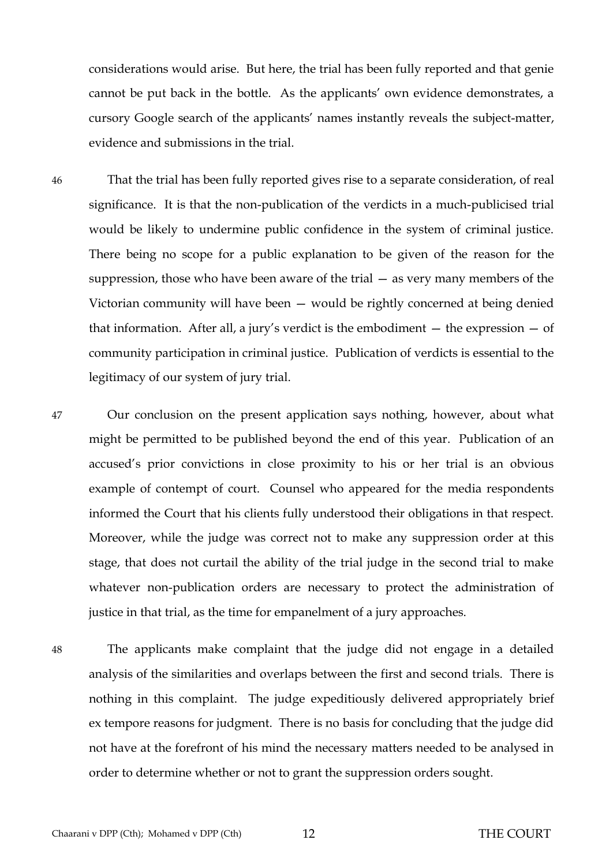considerations would arise. But here, the trial has been fully reported and that genie cannot be put back in the bottle. As the applicants' own evidence demonstrates, a cursory Google search of the applicants' names instantly reveals the subject-matter, evidence and submissions in the trial.

46 That the trial has been fully reported gives rise to a separate consideration, of real significance. It is that the non-publication of the verdicts in a much-publicised trial would be likely to undermine public confidence in the system of criminal justice. There being no scope for a public explanation to be given of the reason for the suppression, those who have been aware of the trial — as very many members of the Victorian community will have been — would be rightly concerned at being denied that information. After all, a jury's verdict is the embodiment  $-$  the expression  $-$  of community participation in criminal justice. Publication of verdicts is essential to the legitimacy of our system of jury trial.

- 47 Our conclusion on the present application says nothing, however, about what might be permitted to be published beyond the end of this year. Publication of an accused's prior convictions in close proximity to his or her trial is an obvious example of contempt of court. Counsel who appeared for the media respondents informed the Court that his clients fully understood their obligations in that respect. Moreover, while the judge was correct not to make any suppression order at this stage, that does not curtail the ability of the trial judge in the second trial to make whatever non-publication orders are necessary to protect the administration of justice in that trial, as the time for empanelment of a jury approaches.
- 48 The applicants make complaint that the judge did not engage in a detailed analysis of the similarities and overlaps between the first and second trials. There is nothing in this complaint. The judge expeditiously delivered appropriately brief ex tempore reasons for judgment. There is no basis for concluding that the judge did not have at the forefront of his mind the necessary matters needed to be analysed in order to determine whether or not to grant the suppression orders sought.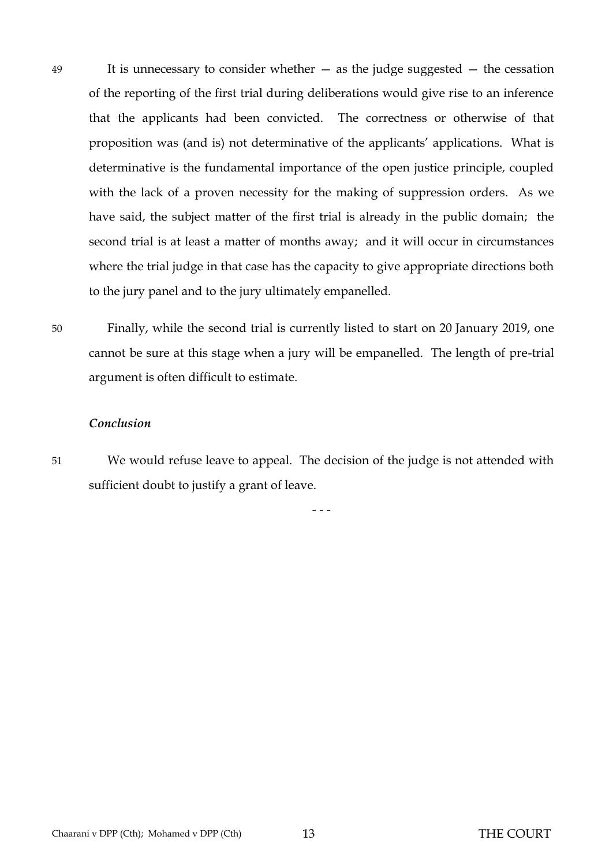- 49 It is unnecessary to consider whether as the judge suggested the cessation of the reporting of the first trial during deliberations would give rise to an inference that the applicants had been convicted. The correctness or otherwise of that proposition was (and is) not determinative of the applicants' applications. What is determinative is the fundamental importance of the open justice principle, coupled with the lack of a proven necessity for the making of suppression orders. As we have said, the subject matter of the first trial is already in the public domain; the second trial is at least a matter of months away; and it will occur in circumstances where the trial judge in that case has the capacity to give appropriate directions both to the jury panel and to the jury ultimately empanelled.
- 50 Finally, while the second trial is currently listed to start on 20 January 2019, one cannot be sure at this stage when a jury will be empanelled. The length of pre-trial argument is often difficult to estimate.

#### *Conclusion*

51 We would refuse leave to appeal. The decision of the judge is not attended with sufficient doubt to justify a grant of leave.

- - -